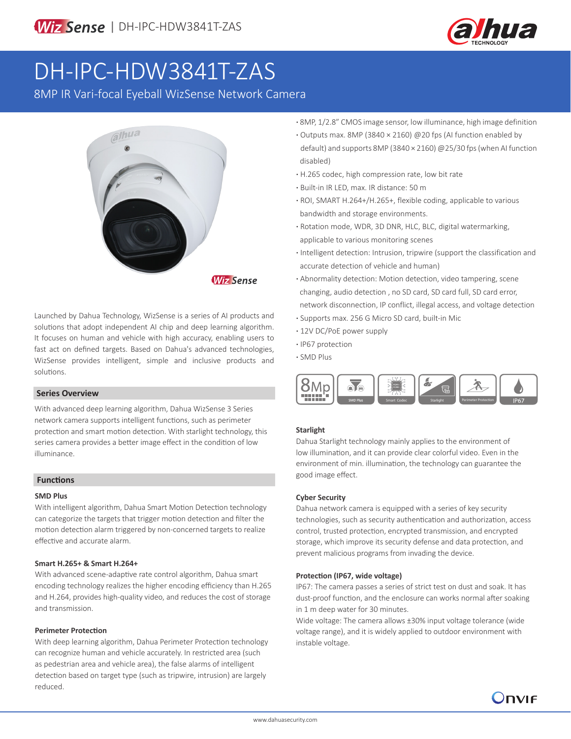

# DH-IPC-HDW3841T-ZAS

8MP IR Vari-focal Eyeball WizSense Network Camera



Launched by Dahua Technology, WizSense is a series of AI products and solutions that adopt independent AI chip and deep learning algorithm. It focuses on human and vehicle with high accuracy, enabling users to fast act on defined targets. Based on Dahua's advanced technologies, WizSense provides intelligent, simple and inclusive products and solutions.

#### **Series Overview**

With advanced deep learning algorithm, Dahua WizSense 3 Series network camera supports intelligent functions, such as perimeter protection and smart motion detection. With starlight technology, this series camera provides a better image effect in the condition of low illuminance.

#### **Functions**

#### **SMD Plus**

With intelligent algorithm, Dahua Smart Motion Detection technology can categorize the targets that trigger motion detection and filter the motion detection alarm triggered by non-concerned targets to realize effective and accurate alarm.

#### **Smart H.265+ & Smart H.264+**

With advanced scene-adaptive rate control algorithm, Dahua smart encoding technology realizes the higher encoding efficiency than H.265 and H.264, provides high-quality video, and reduces the cost of storage and transmission.

#### **Perimeter Protection**

With deep learning algorithm, Dahua Perimeter Protection technology can recognize human and vehicle accurately. In restricted area (such as pedestrian area and vehicle area), the false alarms of intelligent detection based on target type (such as tripwire, intrusion) are largely reduced.

- **·** 8MP, 1/2.8" CMOS image sensor, low illuminance, high image definition
- **·** Outputs max. 8MP (3840 × 2160) @20 fps (AI function enabled by default) and supports 8MP (3840 × 2160) @25/30 fps (when AI function disabled)
- **·** H.265 codec, high compression rate, low bit rate
- **·** Built-in IR LED, max. IR distance: 50 m
- **·** ROI, SMART H.264+/H.265+, flexible coding, applicable to various bandwidth and storage environments.
- **·** Rotation mode, WDR, 3D DNR, HLC, BLC, digital watermarking, applicable to various monitoring scenes
- **·** Intelligent detection: Intrusion, tripwire (support the classification and accurate detection of vehicle and human)
- **·** Abnormality detection: Motion detection, video tampering, scene changing, audio detection , no SD card, SD card full, SD card error, network disconnection, IP conflict, illegal access, and voltage detection
- **·** Supports max. 256 G Micro SD card, built-in Mic
- **·** 12V DC/PoE power supply
- **·** IP67 protection
- **·** SMD Plus



#### **Starlight**

Dahua Starlight technology mainly applies to the environment of low illumination, and it can provide clear colorful video. Even in the environment of min. illumination, the technology can guarantee the good image effect.

#### **Cyber Security**

Dahua network camera is equipped with a series of key security technologies, such as security authentication and authorization, access control, trusted protection, encrypted transmission, and encrypted storage, which improve its security defense and data protection, and prevent malicious programs from invading the device.

#### **Protection (IP67, wide voltage)**

IP67: The camera passes a series of strict test on dust and soak. It has dust-proof function, and the enclosure can works normal after soaking in 1 m deep water for 30 minutes.

Wide voltage: The camera allows ±30% input voltage tolerance (wide voltage range), and it is widely applied to outdoor environment with instable voltage.

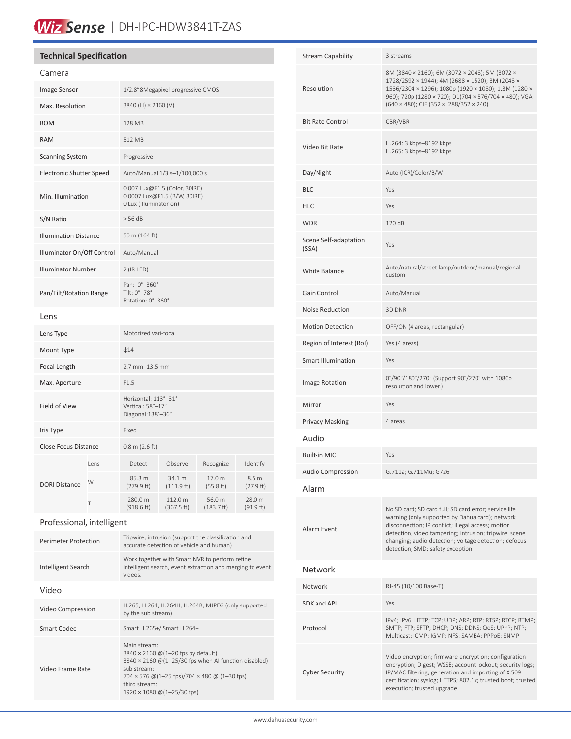# Wiz Sense | DH-IPC-HDW3841T-ZAS

### **Technical Specification**

| Camera                          |      |                                                                                         |                       |                      |                     |
|---------------------------------|------|-----------------------------------------------------------------------------------------|-----------------------|----------------------|---------------------|
| Image Sensor                    |      | 1/2.8"8Megapixel progressive CMOS                                                       |                       |                      |                     |
| Max. Resolution                 |      | 3840 (H) × 2160 (V)                                                                     |                       |                      |                     |
| <b>ROM</b>                      |      | 128 MB                                                                                  |                       |                      |                     |
| <b>RAM</b>                      |      | 512 MB                                                                                  |                       |                      |                     |
| <b>Scanning System</b>          |      | Progressive                                                                             |                       |                      |                     |
| <b>Electronic Shutter Speed</b> |      | Auto/Manual 1/3 s-1/100,000 s                                                           |                       |                      |                     |
| Min. Illumination               |      | 0.007 Lux@F1.5 (Color, 30IRE)<br>0.0007 Lux@F1.5 (B/W, 30IRE)<br>0 Lux (Illuminator on) |                       |                      |                     |
| S/N Ratio                       |      | > 56 dB                                                                                 |                       |                      |                     |
| <b>Illumination Distance</b>    |      | 50 m (164 ft)                                                                           |                       |                      |                     |
| Illuminator On/Off Control      |      | Auto/Manual                                                                             |                       |                      |                     |
| <b>Illuminator Number</b>       |      | $2$ (IR LED)                                                                            |                       |                      |                     |
| Pan/Tilt/Rotation Range         |      | Pan: 0°-360°<br>Tilt: 0°-78°<br>Rotation: 0°-360°                                       |                       |                      |                     |
| Lens                            |      |                                                                                         |                       |                      |                     |
| Lens Type                       |      | Motorized vari-focal                                                                    |                       |                      |                     |
| Mount Type                      |      | $\phi$ 14                                                                               |                       |                      |                     |
| Focal Length                    |      | 2.7 mm-13.5 mm                                                                          |                       |                      |                     |
| Max. Aperture                   |      | F1.5                                                                                    |                       |                      |                     |
| Field of View                   |      | Horizontal: 113°-31°<br>Vertical: 58°-17°<br>Diagonal:138°-36°                          |                       |                      |                     |
| Iris Type                       |      | Fixed                                                                                   |                       |                      |                     |
| Close Focus Distance            |      | $0.8$ m $(2.6$ ft)                                                                      |                       |                      |                     |
| <b>DORI Distance</b>            | Lens | Detect                                                                                  | Observe               | Recognize            | Identify            |
|                                 | W    | 85.3 m<br>(279.9 ft)                                                                    | 34.1 m<br>(111.9 ft)  | 17.0 m<br>(55.8 ft)  | 8.5 m<br>(27.9 ft)  |
|                                 | Τ    | 280.0 m<br>(918.6 ft)                                                                   | 112.0 m<br>(367.5 ft) | 56.0 m<br>(183.7 ft) | 28.0 m<br>(91.9 ft) |
|                                 |      |                                                                                         |                       |                      |                     |

Professional, intelligent

| Perimeter Protection | Tripwire; intrusion (support the classification and<br>accurate detection of vehicle and human)                                                                                                                                                 |  |
|----------------------|-------------------------------------------------------------------------------------------------------------------------------------------------------------------------------------------------------------------------------------------------|--|
| Intelligent Search   | Work together with Smart NVR to perform refine<br>intelligent search, event extraction and merging to event<br>videos.                                                                                                                          |  |
| Video                |                                                                                                                                                                                                                                                 |  |
| Video Compression    | H.265; H.264; H.264H; H.264B; MJPEG (only supported<br>by the sub stream)                                                                                                                                                                       |  |
| Smart Codec          | Smart H.265+/ Smart H.264+                                                                                                                                                                                                                      |  |
| Video Frame Rate     | Main stream:<br>3840 × 2160 @ (1-20 fps by default)<br>$3840 \times 2160$ @(1-25/30 fps when AI function disabled)<br>sub stream:<br>$704 \times 576$ @(1-25 fps)/704 $\times$ 480 @ (1-30 fps)<br>third stream:<br>1920 × 1080 @ (1-25/30 fps) |  |

| <b>Stream Capability</b>       | 3 streams                                                                                                                                                                                                                                                                                                             |  |  |
|--------------------------------|-----------------------------------------------------------------------------------------------------------------------------------------------------------------------------------------------------------------------------------------------------------------------------------------------------------------------|--|--|
| Resolution                     | 8M (3840 × 2160); 6M (3072 × 2048); 5M (3072 ×<br>1728/2592 × 1944); 4M (2688 × 1520); 3M (2048 ×<br>1536/2304 × 1296); 1080p (1920 × 1080); 1.3M (1280 ×<br>960); 720p (1280 × 720); D1(704 × 576/704 × 480); VGA<br>$(640 \times 480)$ ; CIF (352 × 288/352 × 240)                                                  |  |  |
| <b>Bit Rate Control</b>        | CBR/VBR                                                                                                                                                                                                                                                                                                               |  |  |
| Video Bit Rate                 | H.264: 3 kbps-8192 kbps<br>H.265: 3 kbps-8192 kbps                                                                                                                                                                                                                                                                    |  |  |
| Day/Night                      | Auto (ICR)/Color/B/W                                                                                                                                                                                                                                                                                                  |  |  |
| <b>BLC</b>                     | Yes                                                                                                                                                                                                                                                                                                                   |  |  |
| <b>HLC</b>                     | Yes                                                                                                                                                                                                                                                                                                                   |  |  |
| <b>WDR</b>                     | 120dB                                                                                                                                                                                                                                                                                                                 |  |  |
| Scene Self-adaptation<br>(SSA) | Yes                                                                                                                                                                                                                                                                                                                   |  |  |
| <b>White Balance</b>           | Auto/natural/street lamp/outdoor/manual/regional<br>custom                                                                                                                                                                                                                                                            |  |  |
| Gain Control                   | Auto/Manual                                                                                                                                                                                                                                                                                                           |  |  |
| Noise Reduction                | 3D DNR                                                                                                                                                                                                                                                                                                                |  |  |
| <b>Motion Detection</b>        | OFF/ON (4 areas, rectangular)                                                                                                                                                                                                                                                                                         |  |  |
| Region of Interest (RoI)       | Yes (4 areas)                                                                                                                                                                                                                                                                                                         |  |  |
| <b>Smart Illumination</b>      | Yes                                                                                                                                                                                                                                                                                                                   |  |  |
| Image Rotation                 | 0°/90°/180°/270° (Support 90°/270° with 1080p<br>resolution and lower.)                                                                                                                                                                                                                                               |  |  |
| Mirror                         | Yes                                                                                                                                                                                                                                                                                                                   |  |  |
| <b>Privacy Masking</b>         | 4 areas                                                                                                                                                                                                                                                                                                               |  |  |
| Audio                          |                                                                                                                                                                                                                                                                                                                       |  |  |
| <b>Built-in MIC</b>            | Yes                                                                                                                                                                                                                                                                                                                   |  |  |
| <b>Audio Compression</b>       | G.711a; G.711Mu; G726                                                                                                                                                                                                                                                                                                 |  |  |
| Alarm                          |                                                                                                                                                                                                                                                                                                                       |  |  |
| Alarm Event                    | No SD card; SD card full; SD card error; service life<br>warning (only supported by Dahua card); network<br>disconnection; IP conflict; illegal access; motion<br>detection; video tampering; intrusion; tripwire; scene<br>changing; audio detection; voltage detection; defocus<br>detection; SMD; safety exception |  |  |
| Network                        |                                                                                                                                                                                                                                                                                                                       |  |  |
| Network                        | RJ-45 (10/100 Base-T)                                                                                                                                                                                                                                                                                                 |  |  |
| SDK and API                    | Yes                                                                                                                                                                                                                                                                                                                   |  |  |
| Protocol                       | IPv4; IPv6; HTTP; TCP; UDP; ARP; RTP; RTSP; RTCP; RTMP;<br>SMTP; FTP; SFTP; DHCP; DNS; DDNS; QoS; UPnP; NTP;<br>Multicast; ICMP; IGMP; NFS; SAMBA; PPPoE; SNMP                                                                                                                                                        |  |  |
| <b>Cyber Security</b>          | Video encryption; firmware encryption; configuration<br>encryption; Digest; WSSE; account lockout; security logs;<br>IP/MAC filtering; generation and importing of X.509<br>certification; syslog; HTTPS; 802.1x; trusted boot; trusted<br>execution; trusted upgrade                                                 |  |  |